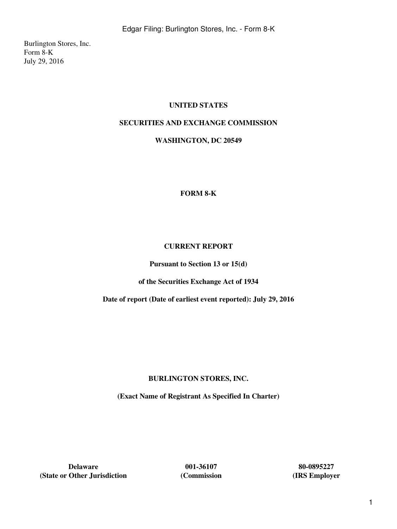Burlington Stores, Inc. Form 8-K July 29, 2016

## **UNITED STATES**

## **SECURITIES AND EXCHANGE COMMISSION**

#### **WASHINGTON, DC 20549**

#### **FORM 8-K**

#### **CURRENT REPORT**

**Pursuant to Section 13 or 15(d)**

**of the Securities Exchange Act of 1934**

**Date of report (Date of earliest event reported): July 29, 2016**

## **BURLINGTON STORES, INC.**

**(Exact Name of Registrant As Specified In Charter)**

**Delaware 001-36107 80-0895227**<br> **12.8 Other Jurisdiction 12.8 Commission 12.8 Commission (State or Other Jurisdiction (Commission (IRS Employer**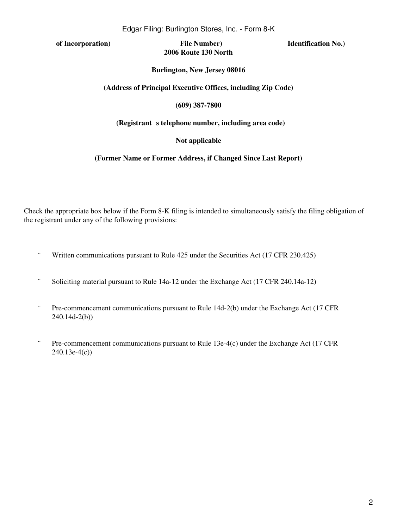**of Incorporation) File Number) Identification No.) 2006 Route 130 North**

#### **Burlington, New Jersey 08016**

#### **(Address of Principal Executive Offices, including Zip Code)**

#### **(609) 387-7800**

#### (Registrant s telephone number, including area code)

#### **Not applicable**

#### **(Former Name or Former Address, if Changed Since Last Report)**

Check the appropriate box below if the Form 8-K filing is intended to simultaneously satisfy the filing obligation of the registrant under any of the following provisions:

- ¨ Written communications pursuant to Rule 425 under the Securities Act (17 CFR 230.425)
- ¨ Soliciting material pursuant to Rule 14a-12 under the Exchange Act (17 CFR 240.14a-12)
- ¨ Pre-commencement communications pursuant to Rule 14d-2(b) under the Exchange Act (17 CFR 240.14d-2(b))
- ¨ Pre-commencement communications pursuant to Rule 13e-4(c) under the Exchange Act (17 CFR 240.13e-4(c))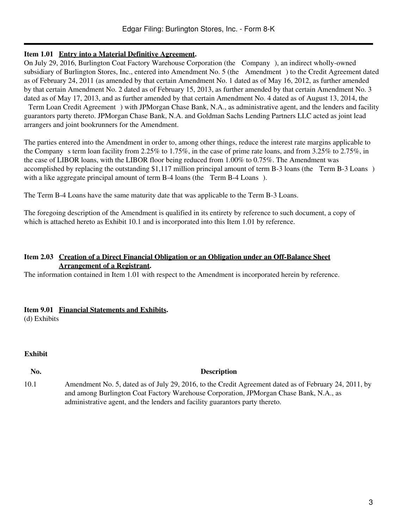#### **Item 1.01 Entry into a Material Definitive Agreement.**

On July 29, 2016, Burlington Coat Factory Warehouse Corporation (the Company), an indirect wholly-owned subsidiary of Burlington Stores, Inc., entered into Amendment No. 5 (the Amendment) to the Credit Agreement dated as of February 24, 2011 (as amended by that certain Amendment No. 1 dated as of May 16, 2012, as further amended by that certain Amendment No. 2 dated as of February 15, 2013, as further amended by that certain Amendment No. 3 dated as of May 17, 2013, and as further amended by that certain Amendment No. 4 dated as of August 13, 2014, the

Term Loan Credit Agreement) with JPMorgan Chase Bank, N.A., as administrative agent, and the lenders and facility guarantors party thereto. JPMorgan Chase Bank, N.A. and Goldman Sachs Lending Partners LLC acted as joint lead arrangers and joint bookrunners for the Amendment.

The parties entered into the Amendment in order to, among other things, reduce the interest rate margins applicable to the Company s term loan facility from 2.25% to 1.75%, in the case of prime rate loans, and from  $3.25\%$  to  $2.75\%$ , in the case of LIBOR loans, with the LIBOR floor being reduced from 1.00% to 0.75%. The Amendment was accomplished by replacing the outstanding \$1,117 million principal amount of term B-3 loans (the Term B-3 Loans) with a like aggregate principal amount of term B-4 loans (the Term B-4 Loans).

The Term B-4 Loans have the same maturity date that was applicable to the Term B-3 Loans.

The foregoing description of the Amendment is qualified in its entirety by reference to such document, a copy of which is attached hereto as Exhibit 10.1 and is incorporated into this Item 1.01 by reference.

## **Item 2.03 Creation of a Direct Financial Obligation or an Obligation under an Off-Balance Sheet Arrangement of a Registrant.**

The information contained in Item 1.01 with respect to the Amendment is incorporated herein by reference.

## **Item 9.01 Financial Statements and Exhibits.**

(d) Exhibits

#### **Exhibit**

### **No. Description**

10.1 Amendment No. 5, dated as of July 29, 2016, to the Credit Agreement dated as of February 24, 2011, by and among Burlington Coat Factory Warehouse Corporation, JPMorgan Chase Bank, N.A., as administrative agent, and the lenders and facility guarantors party thereto.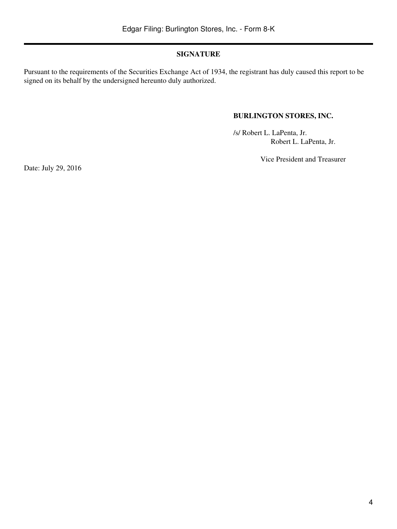## **SIGNATURE**

Pursuant to the requirements of the Securities Exchange Act of 1934, the registrant has duly caused this report to be signed on its behalf by the undersigned hereunto duly authorized.

## **BURLINGTON STORES, INC.**

/s/ Robert L. LaPenta, Jr. Robert L. LaPenta, Jr.

Vice President and Treasurer

Date: July 29, 2016